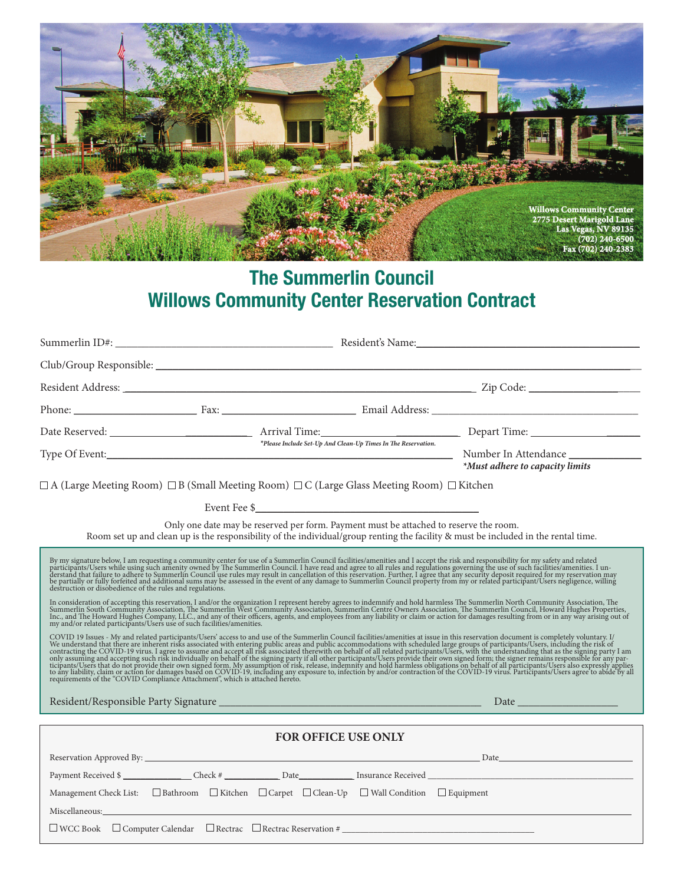

## **The Summerlin Council Willows Community Center Reservation Contract**

|                                                                                                                                                                                                                                                                                                                                                                                                                                                                                                                                                                                                                                                                                                                                                               |  |  |  | Phone: Fax: Fax: Fax: Email Address: Communication of the Second State of the Second State of the Second State of the Second State of the Second State of the Second State of the Second State of the Second State of the Seco |  |  |  |  |
|---------------------------------------------------------------------------------------------------------------------------------------------------------------------------------------------------------------------------------------------------------------------------------------------------------------------------------------------------------------------------------------------------------------------------------------------------------------------------------------------------------------------------------------------------------------------------------------------------------------------------------------------------------------------------------------------------------------------------------------------------------------|--|--|--|--------------------------------------------------------------------------------------------------------------------------------------------------------------------------------------------------------------------------------|--|--|--|--|
|                                                                                                                                                                                                                                                                                                                                                                                                                                                                                                                                                                                                                                                                                                                                                               |  |  |  |                                                                                                                                                                                                                                |  |  |  |  |
|                                                                                                                                                                                                                                                                                                                                                                                                                                                                                                                                                                                                                                                                                                                                                               |  |  |  | *Must adhere to capacity limits                                                                                                                                                                                                |  |  |  |  |
| $\Box$ A (Large Meeting Room) $\Box$ B (Small Meeting Room) $\Box$ C (Large Glass Meeting Room) $\Box$ Kitchen                                                                                                                                                                                                                                                                                                                                                                                                                                                                                                                                                                                                                                                |  |  |  |                                                                                                                                                                                                                                |  |  |  |  |
|                                                                                                                                                                                                                                                                                                                                                                                                                                                                                                                                                                                                                                                                                                                                                               |  |  |  |                                                                                                                                                                                                                                |  |  |  |  |
| Only one date may be reserved per form. Payment must be attached to reserve the room.<br>Room set up and clean up is the responsibility of the individual/group renting the facility & must be included in the rental time.                                                                                                                                                                                                                                                                                                                                                                                                                                                                                                                                   |  |  |  |                                                                                                                                                                                                                                |  |  |  |  |
| By my signature below, I am requesting a community center for use of a Summerlin Council facilities/amenities and I accept the risk and responsibility for my safety and related participants/Users while using such amenity o<br>destruction or disobedience of the rules and regulations.<br>In consideration of accepting this reservation, I and/or the organization I represent hereby agrees to indemnify and hold harmless The Summerlin North Community Association, The Summerlin North Community Association, The<br>COVID 19 Issues - My and related participants/Users' access to and use of the Summerlin Council facilities/amenities at issue in this reservation document is completely voluntary. I/ We understand that there are inherent r |  |  |  |                                                                                                                                                                                                                                |  |  |  |  |
|                                                                                                                                                                                                                                                                                                                                                                                                                                                                                                                                                                                                                                                                                                                                                               |  |  |  |                                                                                                                                                                                                                                |  |  |  |  |
| FOR OFFICE USE ONLY                                                                                                                                                                                                                                                                                                                                                                                                                                                                                                                                                                                                                                                                                                                                           |  |  |  |                                                                                                                                                                                                                                |  |  |  |  |
|                                                                                                                                                                                                                                                                                                                                                                                                                                                                                                                                                                                                                                                                                                                                                               |  |  |  |                                                                                                                                                                                                                                |  |  |  |  |
| Management Check List: $\Box$ Bathroom $\Box$ Kitchen $\Box$ Carpet $\Box$ Clean-Up $\Box$ Wall Condition $\Box$ Equipment                                                                                                                                                                                                                                                                                                                                                                                                                                                                                                                                                                                                                                    |  |  |  | Payment Received \$                                                                                                                                                                                                            |  |  |  |  |
| $\square$ WCC Book $\square$ Computer Calendar $\square$ Rectrac $\square$ Rectrac Reservation #                                                                                                                                                                                                                                                                                                                                                                                                                                                                                                                                                                                                                                                              |  |  |  |                                                                                                                                                                                                                                |  |  |  |  |